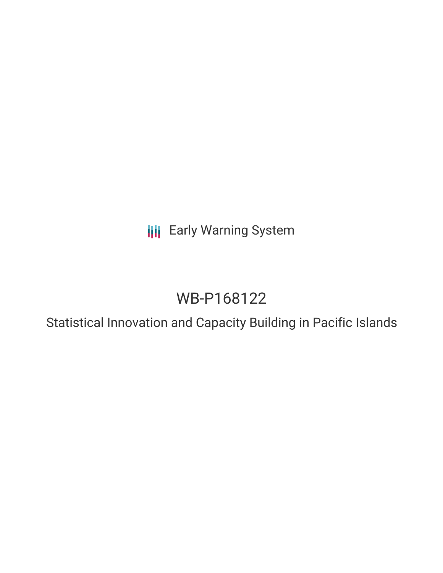**III** Early Warning System

# WB-P168122

Statistical Innovation and Capacity Building in Pacific Islands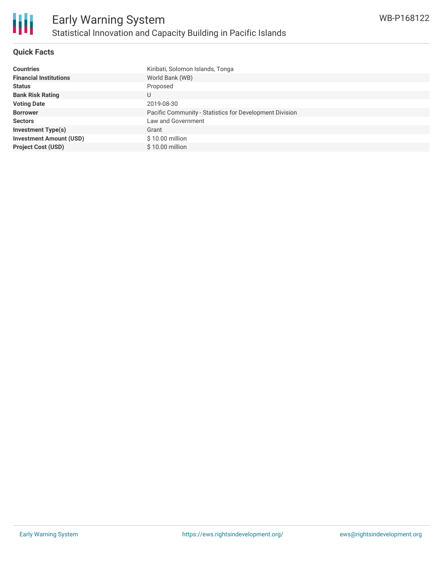

#### **Quick Facts**

| <b>Countries</b>               | Kiribati, Solomon Islands, Tonga                        |
|--------------------------------|---------------------------------------------------------|
| <b>Financial Institutions</b>  | World Bank (WB)                                         |
| <b>Status</b>                  | Proposed                                                |
| <b>Bank Risk Rating</b>        | U                                                       |
| <b>Voting Date</b>             | 2019-08-30                                              |
| <b>Borrower</b>                | Pacific Community - Statistics for Development Division |
| <b>Sectors</b>                 | Law and Government                                      |
| <b>Investment Type(s)</b>      | Grant                                                   |
| <b>Investment Amount (USD)</b> | $$10.00$ million                                        |
| <b>Project Cost (USD)</b>      | $$10.00$ million                                        |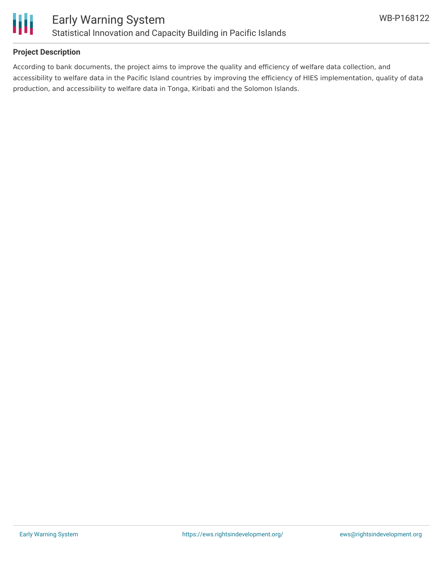

#### **Project Description**

According to bank documents, the project aims to improve the quality and efficiency of welfare data collection, and accessibility to welfare data in the Pacific Island countries by improving the efficiency of HIES implementation, quality of data production, and accessibility to welfare data in Tonga, Kiribati and the Solomon Islands.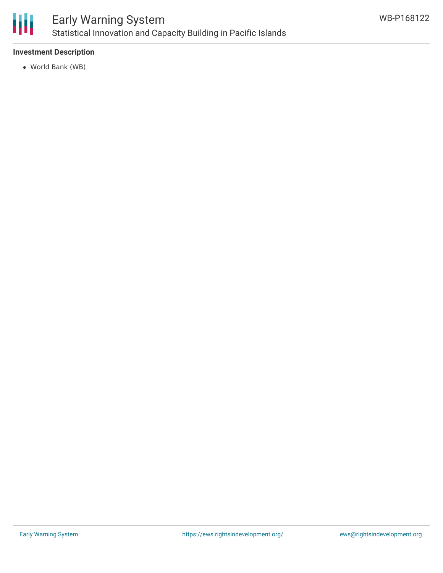

## Early Warning System Statistical Innovation and Capacity Building in Pacific Islands

#### **Investment Description**

World Bank (WB)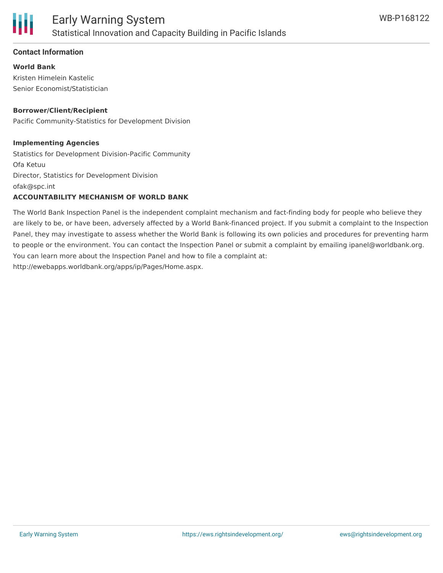

#### **Contact Information**

**World Bank** Kristen Himelein Kastelic Senior Economist/Statistician

#### **Borrower/Client/Recipient**

Pacific Community-Statistics for Development Division

#### **Implementing Agencies**

Statistics for Development Division-Pacific Community Ofa Ketuu Director, Statistics for Development Division ofak@spc.int

#### **ACCOUNTABILITY MECHANISM OF WORLD BANK**

The World Bank Inspection Panel is the independent complaint mechanism and fact-finding body for people who believe they are likely to be, or have been, adversely affected by a World Bank-financed project. If you submit a complaint to the Inspection Panel, they may investigate to assess whether the World Bank is following its own policies and procedures for preventing harm to people or the environment. You can contact the Inspection Panel or submit a complaint by emailing ipanel@worldbank.org. You can learn more about the Inspection Panel and how to file a complaint at: http://ewebapps.worldbank.org/apps/ip/Pages/Home.aspx.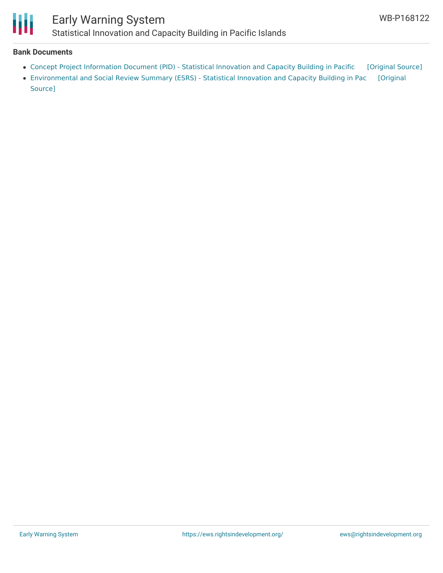

## Early Warning System

Statistical Innovation and Capacity Building in Pacific Islands

#### **Bank Documents**

- Concept Project [Information](https://ewsdata.rightsindevelopment.org/files/documents/22/WB-P168122_T5qTh7i.pdf) Document (PID) Statistical Innovation and Capacity Building in Pacific [\[Original](http://documents.worldbank.org/curated/en/115301547247390877/pdf/Concept-Project-Information-Document-PID-Statistical-Innovation-and-Capacity-Building-in-Pacific-Islands-P168122.pdf) Source]
- [Environmental](http://documents.worldbank.org/curated/en/189741547765497609/pdf/Environmental-and-Social-Review-Summary-ESRS-Statistical-Innovation-and-Capacity-Building-in-Pacific-Islands-P168122.pdf) and Social Review Summary (ESRS) Statistical Innovation and Capacity Building in Pac [Original Source]